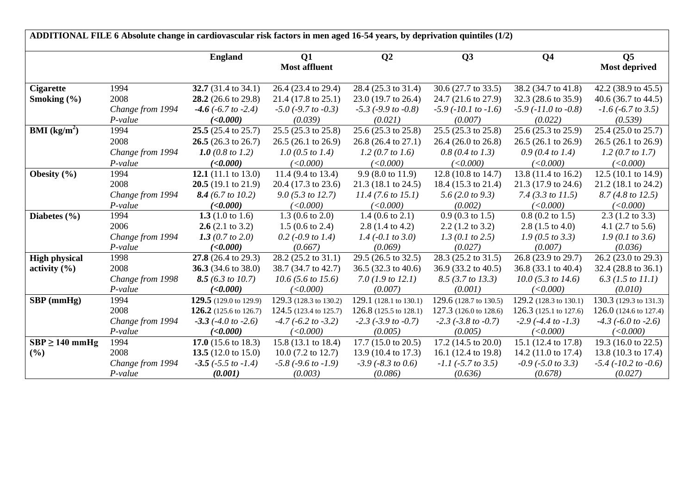|                        |                               | <b>England</b>                                  | Q1                                     | Q <sub>2</sub>                         | Q3                                      | Q <sub>4</sub>                          | Q <sub>5</sub>                     |
|------------------------|-------------------------------|-------------------------------------------------|----------------------------------------|----------------------------------------|-----------------------------------------|-----------------------------------------|------------------------------------|
|                        |                               |                                                 | <b>Most affluent</b>                   |                                        |                                         |                                         | Most deprived                      |
| <b>Cigarette</b>       | 1994                          | 32.7 (31.4 to 34.1)                             | 26.4 (23.4 to 29.4)                    | 28.4 (25.3 to 31.4)                    | 30.6 (27.7 to 33.5)                     | 38.2 (34.7 to 41.8)                     | 42.2 (38.9 to 45.5)                |
| Smoking $(\% )$        | 2008                          | 28.2 (26.6 to 29.8)                             | 21.4 (17.8 to 25.1)                    | 23.0 (19.7 to 26.4)                    | 24.7 (21.6 to 27.9)                     | 32.3 (28.6 to 35.9)                     | 40.6 (36.7 to 44.5)                |
|                        | Change from 1994<br>$P-value$ | $-4.6$ ( $-6.7$ to $-2.4$ )<br>( <b>0.000</b> ) | $-5.0$ ( $-9.7$ to $-0.3$ )<br>(0.039) | $-5.3$ ( $-9.9$ to $-0.8$ )<br>(0.021) | $-5.9$ ( $-10.1$ to $-1.6$ )<br>(0.007) | $-5.9$ ( $-11.0$ to $-0.8$ )<br>(0.022) | $-1.6$ ( $-6.7$ to 3.5)<br>(0.539) |
| <b>BMI</b> ( $kg/m2$ ) | 1994                          | $25.5(25.4 \text{ to } 25.7)$                   | 25.5 (25.3 to 25.8)                    | 25.6 (25.3 to 25.8)                    | 25.5 (25.3 to 25.8)                     | 25.6 (25.3 to 25.9)                     | 25.4 (25.0 to 25.7)                |
|                        | 2008                          | 26.5 $(26.3 \text{ to } 26.7)$                  | 26.5 (26.1 to 26.9)                    | 26.8 (26.4 to 27.1)                    | 26.4 (26.0 to 26.8)                     | 26.5 (26.1 to 26.9)                     | 26.5 (26.1 to 26.9)                |
|                        | Change from 1994              | 1.0 (0.8 to 1.2)                                | 1.0 (0.5 to 1.4)                       | 1.2 (0.7 to 1.6)                       | $0.8$ (0.4 to 1.3)                      | 0.9(0.4~to~1.4)                         | 1.2 (0.7 to 1.7)                   |
|                        | P-value                       | (<0.000)                                        | (<0.000)                               | (<0.000)                               | (<0.000)                                | (<0.000)                                | (<0.000)                           |
| Obesity (%)            | 1994                          | 12.1 $(11.1 \text{ to } 13.0)$                  | 11.4 (9.4 to 13.4)                     | $9.9(8.0 \text{ to } 11.9)$            | 12.8 (10.8 to 14.7)                     | 13.8 (11.4 to 16.2)                     | 12.5 (10.1 to 14.9)                |
|                        | 2008                          | $20.5(19.1 \text{ to } 21.9)$                   | 20.4 (17.3 to 23.6)                    | $21.3(18.1 \text{ to } 24.5)$          | 18.4 (15.3 to 21.4)                     | 21.3 (17.9 to 24.6)                     | 21.2 (18.1 to 24.2)                |
|                        | Change from 1994              | 8.4 (6.7 to 10.2)                               | 9.0 (5.3 to 12.7)                      | 11.4 (7.6 to 15.1)                     | 5.6 (2.0 to 9.3)                        | 7.4 (3.3 to $11.5$ )                    | 8.7 (4.8 to 12.5)                  |
|                        | P-value                       | (<0.000)                                        | (<0.000)                               | (<0.000)                               | (0.002)                                 | (<0.000)                                | (<0.000)                           |
| Diabetes $(\% )$       | 1994                          | 1.3 $(1.0 \text{ to } 1.6)$                     | $1.3(0.6 \text{ to } 2.0)$             | $1.4(0.6 \text{ to } 2.1)$             | $0.9(0.3 \text{ to } 1.5)$              | $0.8$ (0.2 to 1.5)                      | $2.3(1.2 \text{ to } 3.3)$         |
|                        | 2006                          | $2.6(2.1 \text{ to } 3.2)$                      | $1.5(0.6 \text{ to } 2.4)$             | $2.8(1.4 \text{ to } 4.2)$             | $2.2$ (1.2 to 3.2)                      | $2.8(1.5 \text{ to } 4.0)$              | 4.1 $(2.7 \text{ to } 5.6)$        |
|                        | Change from 1994              | 1.3 $(0.7 to 2.0)$                              | 0.2 $(-0.9 \text{ to } 1.4)$           | $1.4$ (-0.1 to 3.0)                    | 1.3 (0.1 to 2.5)                        | $1.9(0.5 \text{ to } 3.3)$              | 1.9(0.1 to 3.6)                    |
|                        | P-value                       | (<0.000)                                        | (0.667)                                | (0.069)                                | (0.027)                                 | (0.007)                                 | (0.036)                            |
| <b>High physical</b>   | 1998                          | 27.8 (26.4 to 29.3)                             | 28.2 (25.2 to 31.1)                    | 29.5 (26.5 to 32.5)                    | 28.3 (25.2 to 31.5)                     | 26.8 (23.9 to 29.7)                     | 26.2 (23.0 to 29.3)                |
| activity $(\% )$       | 2008                          | 36.3 $(34.6 \text{ to } 38.0)$                  | 38.7 (34.7 to 42.7)                    | 36.5 (32.3 to 40.6)                    | 36.9 (33.2 to 40.5)                     | 36.8 (33.1 to 40.4)                     | 32.4 (28.8 to 36.1)                |
|                        | Change from 1998              | 8.5 (6.3 to 10.7)                               | $10.6$ (5.6 to 15.6)                   | 7.0 $(1.9 \text{ to } 12.1)$           | 8.5 (3.7 to 13.3)                       | $10.0$ (5.3 to 14.6)                    | $6.3$ (1.5 to 11.1)                |
|                        | P-value                       | (<0.000)                                        | (<0.000)                               | (0.007)                                | (0.001)                                 | (<0.000)                                | (0.010)                            |
| SBP (mmHg)             | 1994                          | 129.5 (129.0 to 129.9)                          | 129.3 (128.3 to 130.2)                 | 129.1 (128.1 to 130.1)                 | 129.6 (128.7 to 130.5)                  | 129.2 (128.3 to 130.1)                  | 130.3 (129.3 to 131.3)             |
|                        | 2008                          | 126.2 (125.6 to 126.7)                          | 124.5 (123.4 to 125.7)                 | 126.8 (125.5 to 128.1)                 | 127.3 (126.0 to 128.6)                  | 126.3 (125.1 to 127.6)                  | 126.0 $(124.6 \text{ to } 127.4)$  |
|                        | Change from 1994              | $-3.3$ ( $-4.0$ to $-2.6$ )                     | $-4.7$ ( $-6.2$ to $-3.2$ )            | $-2.3$ ( $-3.9$ to $-0.7$ )            | $-2.3$ ( $-3.8$ to $-0.7$ )             | $-2.9$ ( $-4.4$ to $-1.3$ )             | $-4.3$ ( $-6.0$ to $-2.6$ )        |
|                        | P-value                       | (<0.000)                                        | (<0.000)                               | (0.005)                                | (0.005)                                 | (<0.000)                                | (<0.000)                           |
| $SBP \ge 140$ mmHg     | 1994                          | 17.0 $(15.6 \text{ to } 18.3)$                  | 15.8 (13.1 to 18.4)                    | 17.7 (15.0 to 20.5)                    | 17.2 (14.5 to 20.0)                     | 15.1 (12.4 to 17.8)                     | 19.3 (16.0 to 22.5)                |
| (%)                    | 2008                          | 13.5 $(12.0 \text{ to } 15.0)$                  | $10.0$ (7.2 to 12.7)                   | 13.9 (10.4 to 17.3)                    | 16.1 (12.4 to 19.8)                     | 14.2 (11.0 to 17.4)                     | 13.8 (10.3 to 17.4)                |
|                        | Change from 1994              | $-3.5$ ( $-5.5$ to $-1.4$ )                     | $-5.8$ ( $-9.6$ to $-1.9$ )            | $-3.9$ ( $-8.3$ to 0.6)                | $-1.1$ ( $-5.7$ to 3.5)                 | $-0.9$ ( $-5.0$ to 3.3)                 | $-5.4$ ( $-10.2$ to $-0.6$ )       |
|                        | P-value                       | (0.001)                                         | (0.003)                                | (0.086)                                | (0.636)                                 | (0.678)                                 | (0.027)                            |